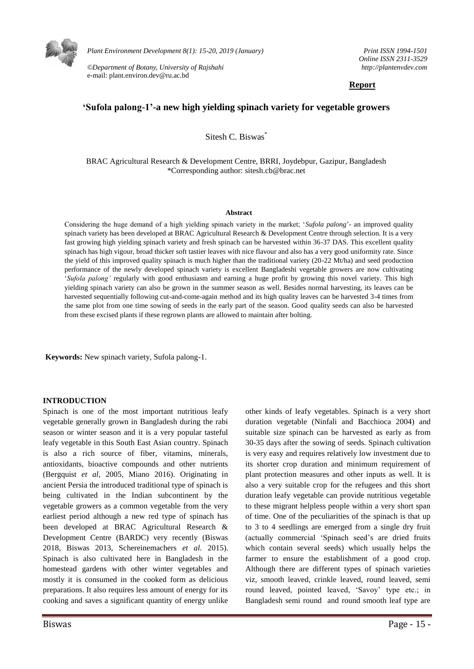

*Plant Environment Development 8(1): 15-20, 2019 (January)* 

*©Department of Botany, University of Rajshahi*  e-mail: plant.environ.dev@ru.ac.bd

*Print ISSN 1994-1501 Online ISSN 2311-3529 http://plantenvdev.com* 

## **Report**

# **'Sufola palong-1'-a new high yielding spinach variety for vegetable growers**

Sitesh C. Biswas<sup>\*</sup>

BRAC Agricultural Research & Development Centre, BRRI, Joydebpur, Gazipur, Bangladesh \*Corresponding author: sitesh.cb@brac.net

#### **Abstract**

Considering the huge demand of a high yielding spinach variety in the market; '*Sufola palong*'- an improved quality spinach variety has been developed at BRAC Agricultural Research & Development Centre through selection. It is a very fast growing high yielding spinach variety and fresh spinach can be harvested within 36-37 DAS. This excellent quality spinach has high vigour, broad thicker soft tastier leaves with nice flavour and also has a very good uniformity rate. Since the yield of this improved quality spinach is much higher than the traditional variety (20-22 Mt/ha) and seed production performance of the newly developed spinach variety is excellent Bangladeshi vegetable growers are now cultivating '*Sufola palong'* regularly with good enthusiasm and earning a huge profit by growing this novel variety. This high yielding spinach variety can also be grown in the summer season as well. Besides normal harvesting, its leaves can be harvested sequentially following cut-and-come-again method and its high quality leaves can be harvested 3-4 times from the same plot from one time sowing of seeds in the early part of the season. Good quality seeds can also be harvested from these excised plants if these regrown plants are allowed to maintain after bolting.

**Keywords:** New spinach variety, Sufola palong-1.

### **INTRODUCTION**

Spinach is one of the most important nutritious leafy vegetable generally grown in Bangladesh during the rabi season or winter season and it is a very popular tasteful leafy vegetable in this South East Asian country. Spinach is also a rich source of fiber, vitamins, minerals, antioxidants, bioactive compounds and other nutrients (Bergquist *et al,* 2005, Miano 2016). Originating in ancient Persia the introduced traditional type of spinach is being cultivated in the Indian subcontinent by the vegetable growers as a common vegetable from the very earliest period although a new red type of spinach has been developed at BRAC Agricultural Research & Development Centre (BARDC) very recently (Biswas 2018, Biswas 2013, Schereinemachers *et al.* 2015). Spinach is also cultivated here in Bangladesh in the homestead gardens with other winter vegetables and mostly it is consumed in the cooked form as delicious preparations. It also requires less amount of energy for its cooking and saves a significant quantity of energy unlike other kinds of leafy vegetables. Spinach is a very short duration vegetable (Ninfali and Bacchioca 2004) and suitable size spinach can be harvested as early as from 30-35 days after the sowing of seeds. Spinach cultivation is very easy and requires relatively low investment due to its shorter crop duration and minimum requirement of plant protection measures and other inputs as well. It is also a very suitable crop for the refugees and this short duration leafy vegetable can provide nutritious vegetable to these migrant helpless people within a very short span of time. One of the peculiarities of the spinach is that up to 3 to 4 seedlings are emerged from a single dry fruit (actually commercial 'Spinach seed's are dried fruits which contain several seeds) which usually helps the farmer to ensure the establishment of a good crop. Although there are different types of spinach varieties viz, smooth leaved, crinkle leaved, round leaved, semi round leaved, pointed leaved, 'Savoy' type etc.; in Bangladesh semi round and round smooth leaf type are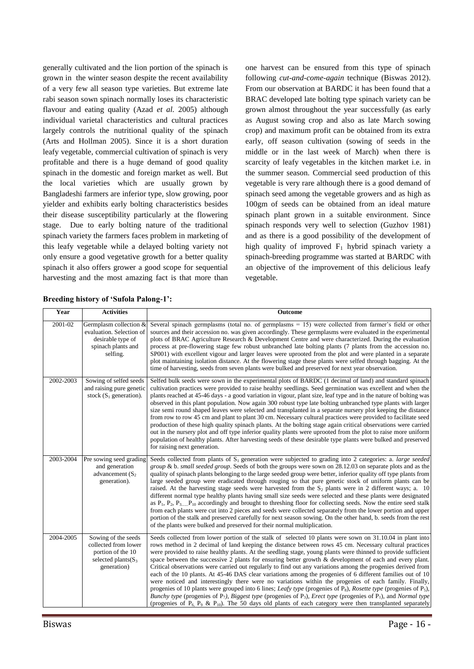generally cultivated and the lion portion of the spinach is grown in the winter season despite the recent availability of a very few all season type varieties. But extreme late rabi season sown spinach normally loses its characteristic flavour and eating quality (Azad *et al.* 2005) although individual varietal characteristics and cultural practices largely controls the nutritional quality of the spinach (Arts and Hollman 2005). Since it is a short duration leafy vegetable, commercial cultivation of spinach is very profitable and there is a huge demand of good quality spinach in the domestic and foreign market as well. But the local varieties which are usually grown by Bangladeshi farmers are inferior type, slow growing, poor yielder and exhibits early bolting characteristics besides their disease susceptibility particularly at the flowering stage. Due to early bolting nature of the traditional spinach variety the farmers faces problem in marketing of this leafy vegetable while a delayed bolting variety not only ensure a good vegetative growth for a better quality spinach it also offers grower a good scope for sequential harvesting and the most amazing fact is that more than one harvest can be ensured from this type of spinach following *cut-and-come-again* technique (Biswas 2012). From our observation at BARDC it has been found that a BRAC developed late bolting type spinach variety can be grown almost throughout the year successfully (as early as August sowing crop and also as late March sowing crop) and maximum profit can be obtained from its extra early, off season cultivation (sowing of seeds in the middle or in the last week of March) when there is scarcity of leafy vegetables in the kitchen market i.e. in the summer season. Commercial seed production of this vegetable is very rare although there is a good demand of spinach seed among the vegetable growers and as high as 100gm of seeds can be obtained from an ideal mature spinach plant grown in a suitable environment. Since spinach responds very well to selection (Guzhov 1981) and as there is a good possibility of the development of high quality of improved  $F_1$  hybrid spinach variety a spinach-breeding programme was started at BARDC with an objective of the improvement of this delicious leafy vegetable.

| Year      | <b>Activities</b>                                                                                          | Outcome                                                                                                                                                                                                                                                                                                                                                                                                                                                                                                                                                                                                                                                                                                                                                                                                                                                                                                                                                                                                                                                                                                                                                                     |
|-----------|------------------------------------------------------------------------------------------------------------|-----------------------------------------------------------------------------------------------------------------------------------------------------------------------------------------------------------------------------------------------------------------------------------------------------------------------------------------------------------------------------------------------------------------------------------------------------------------------------------------------------------------------------------------------------------------------------------------------------------------------------------------------------------------------------------------------------------------------------------------------------------------------------------------------------------------------------------------------------------------------------------------------------------------------------------------------------------------------------------------------------------------------------------------------------------------------------------------------------------------------------------------------------------------------------|
| 2001-02   | Germplasm collection &<br>evaluation. Selection of<br>desirable type of<br>spinach plants and<br>selfing.  | Several spinach germplasms (total no. of germplasms $= 15$ ) were collected from farmer's field or other<br>sources and their accession no. was given accordingly. These germplasms were evaluated in the experimental<br>plots of BRAC Agriculture Research & Development Centre and were characterized. During the evaluation<br>process at pre-flowering stage few robust unbranched late bolting plants (7 plants from the accession no.<br>SP001) with excellent vigour and larger leaves were uprooted from the plot and were planted in a separate<br>plot maintaining isolation distance. At the flowering stage these plants were selfed through bagging. At the<br>time of harvesting, seeds from seven plants were bulked and preserved for next year observation.                                                                                                                                                                                                                                                                                                                                                                                               |
| 2002-2003 | Sowing of selfed seeds<br>and raising pure genetic<br>stock $(S_1$ generation).                            | Selfed bulk seeds were sown in the experimental plots of BARDC (1 decimal of land) and standard spinach<br>cultivation practices were provided to raise healthy seedlings. Seed germination was excellent and when the<br>plants reached at 45-46 days - a good variation in vigour, plant size, leaf type and in the nature of bolting was<br>observed in this plant population. Now again 300 robust type late bolting unbranched type plants with larger<br>size semi round shaped leaves were selected and transplanted in a separate nursery plot keeping the distance<br>from row to row 45 cm and plant to plant 30 cm. Necessary cultural practices were provided to facilitate seed<br>production of these high quality spinach plants. At the bolting stage again critical observations were carried<br>out in the nursery plot and off type inferior quality plants were uprooted from the plot to raise more uniform<br>population of healthy plants. After harvesting seeds of these desirable type plants were bulked and preserved<br>for raising next generation.                                                                                           |
| 2003-2004 | Pre sowing seed grading<br>and generation<br>advancement $(S_2)$<br>generation).                           | Seeds collected from plants of $S_1$ generation were subjected to grading into 2 categories: a. <i>large seeded</i><br>group & b. small seeded group. Seeds of both the groups were sown on $28.12.03$ on separate plots and as the<br>quality of spinach plants belonging to the large seeded group were better, inferior quality off type plants from<br>large seeded group were eradicated through rouging so that pure genetic stock of uniform plants can be<br>raised. At the harvesting stage seeds were harvested from the $S_2$ plants were in 2 different ways; a. 10<br>different normal type healthy plants having small size seeds were selected and these plants were designated<br>as $P_1$ , $P_2$ , $P_3$ , $P_{10}$ accordingly and brought to threshing floor for collecting seeds. Now the entire seed stalk<br>from each plants were cut into 2 pieces and seeds were collected separately from the lower portion and upper<br>portion of the stalk and preserved carefully for next season sowing. On the other hand, b. seeds from the rest<br>of the plants were bulked and preserved for their normal multiplication.                              |
| 2004-2005 | Sowing of the seeds<br>collected from lower<br>portion of the 10<br>selected plants $(S_3)$<br>generation) | Seeds collected from lower portion of the stalk of selected 10 plants were sown on 31.10.04 in plant into<br>rows method in 2 decimal of land keeping the distance between rows 45 cm. Necessary cultural practices<br>were provided to raise healthy plants. At the seedling stage, young plants were thinned to provide sufficient<br>space between the successive 2 plants for ensuring better growth & development of each and every plant.<br>Critical observations were carried out regularly to find out any variations among the progenies derived from<br>each of the 10 plants. At 45-46 DAS clear variations among the progenies of 6 different families out of 10<br>were noticed and interestingly there were no variations within the progenies of each family. Finally,<br>progenies of 10 plants were grouped into 6 lines; Leafy type (progenies of $P_8$ ), Rosette type (progenies of $P_5$ ),<br>Bunchy type (progenies of $P_7$ ), Biggest type (progenies of $P_3$ ), Erect type (progenies of $P_1$ ), and Normal type<br>(progenies of $P_6$ , $P_9$ , $\&$ , $P_{10}$ ). The 50 days old plants of each category were then transplanted separately |

|  |  |  |  | <b>Breeding history of 'Sufola Palong-1':</b> |
|--|--|--|--|-----------------------------------------------|
|--|--|--|--|-----------------------------------------------|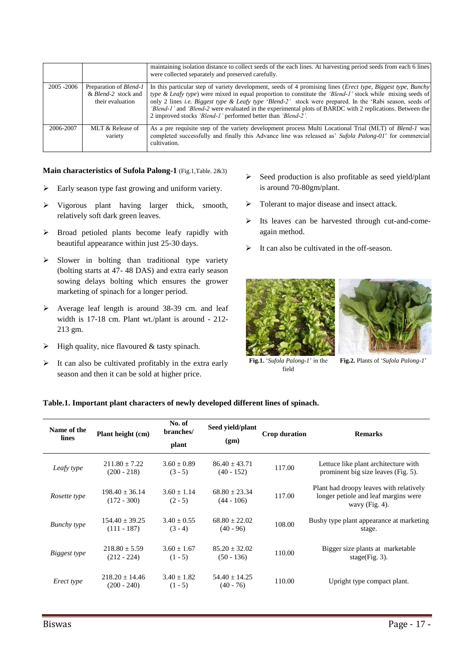|             |                                                                          | maintaining isolation distance to collect seeds of the each lines. At harvesting period seeds from each 6 lines<br>were collected separately and preserved carefully.                                                                                                                                                                                                                                                                                                                                                               |
|-------------|--------------------------------------------------------------------------|-------------------------------------------------------------------------------------------------------------------------------------------------------------------------------------------------------------------------------------------------------------------------------------------------------------------------------------------------------------------------------------------------------------------------------------------------------------------------------------------------------------------------------------|
| 2005 - 2006 | Preparation of <i>Blend-1</i><br>& Blend-2 stock and<br>their evaluation | In this particular step of variety development, seeds of 4 promising lines ( <i>Erect type, Biggest type, Bunchy</i> )<br>type & Leafy type) were mixed in equal proportion to constitute the 'Blend-1' stock while mixing seeds of<br>only 2 lines <i>i.e.</i> Biggest type & Leafy type 'Blend-2' stock were prepared. In the 'Rabi season, seeds of<br>'Blend-1' and 'Blend-2 were evaluated in the experimental plots of BARDC with 2 replications. Between the<br>2 improved stocks 'Blend-1' performed better than 'Blend-2'. |
| 2006-2007   | MLT & Release of<br>variety                                              | As a pre requisite step of the variety development process Multi Locational Trial (MLT) of Blend-1 was<br>completed successfully and finally this Advance line was released as' <i>Sufola Palong-01</i> ' for commercial<br>cultivation.                                                                                                                                                                                                                                                                                            |

**Main characteristics of Sufola Palong-1** (Fig.1,Table. 2&3)

- $\triangleright$  Early season type fast growing and uniform variety.
- Vigorous plant having larger thick, smooth, relatively soft dark green leaves.
- $\triangleright$  Broad petioled plants become leafy rapidly with beautiful appearance within just 25-30 days.
- $\triangleright$  Slower in bolting than traditional type variety (bolting starts at 47- 48 DAS) and extra early season sowing delays bolting which ensures the grower marketing of spinach for a longer period.
- Average leaf length is around 38-39 cm. and leaf width is 17-18 cm. Plant wt./plant is around - 212- 213 gm.
- $\triangleright$  High quality, nice flavoured & tasty spinach.
- $\triangleright$  It can also be cultivated profitably in the extra early season and then it can be sold at higher price.
- Seed production is also profitable as seed yield/plant is around 70-80gm/plant.
- $\triangleright$  Tolerant to major disease and insect attack.
- Its leaves can be harvested through cut-and-comeagain method.
- $\triangleright$  It can also be cultivated in the off-season.





**Fig.1.** '*Sufola Palong-1*' in the field

**Fig.2.** Plants of '*Sufola Palong-1*'

## **Table.1. Important plant characters of newly developed different lines of spinach.**

| Name of the<br>lines | Plant height (cm)                  | No. of<br>branches/<br>plant | Seed yield/plant<br>(gm)        | <b>Crop duration</b> | <b>Remarks</b>                                                                                       |
|----------------------|------------------------------------|------------------------------|---------------------------------|----------------------|------------------------------------------------------------------------------------------------------|
| Leafy type           | $211.80 \pm 7.22$<br>$(200 - 218)$ | $3.60 + 0.89$<br>$(3 - 5)$   | $86.40 + 43.71$<br>$(40 - 152)$ | 117.00               | Lettuce like plant architecture with<br>prominent big size leaves (Fig. 5).                          |
| Rosette type         | $198.40 + 36.14$<br>$(172 - 300)$  | $3.60 + 1.14$<br>$(2 - 5)$   | $68.80 + 23.34$<br>$(44 - 106)$ | 117.00               | Plant had droopy leaves with relatively<br>longer petiole and leaf margins were<br>wavy $(Fig. 4)$ . |
| <b>Bunchy</b> type   | $154.40 + 39.25$<br>$(111 - 187)$  | $3.40 + 0.55$<br>$(3 - 4)$   | $68.80 + 22.02$<br>$(40 - 96)$  | 108.00               | Bushy type plant appearance at marketing<br>stage.                                                   |
| Biggest type         | $218.80 + 5.59$<br>$(212 - 224)$   | $3.60 + 1.67$<br>$(1 - 5)$   | $85.20 + 32.02$<br>$(50 - 136)$ | 110.00               | Bigger size plants at marketable<br>stage(Fig. $3$ ).                                                |
| Erect type           | $218.20 + 14.46$<br>$(200 - 240)$  | $3.40 + 1.82$<br>$(1 - 5)$   | $54.40 + 14.25$<br>$(40 - 76)$  | 110.00               | Upright type compact plant.                                                                          |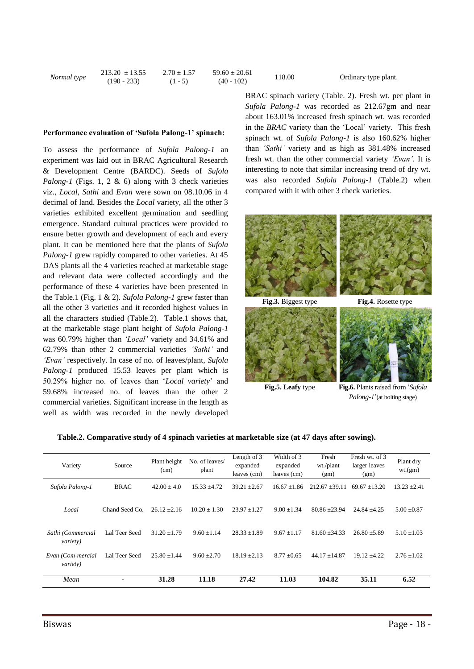|             | $213.20 \pm 13.55$ | $2.70 \pm 1.57$ | $59.60 \pm 20.61$ | 118.00 |
|-------------|--------------------|-----------------|-------------------|--------|
| Normal type | $(190 - 233)$      | $(1 - 5)$       | $(40 - 102)$      |        |

#### Ordinary type plant.

### **Performance evaluation of 'Sufola Palong-1' spinach:**

To assess the performance of *Sufola Palong-1* an experiment was laid out in BRAC Agricultural Research & Development Centre (BARDC). Seeds of *Sufola Palong-1* (Figs. 1, 2 & 6) along with 3 check varieties viz., *Local, Sathi* and *Evan* were sown on 08.10.06 in 4 decimal of land. Besides the *Local* variety, all the other 3 varieties exhibited excellent germination and seedling emergence. Standard cultural practices were provided to ensure better growth and development of each and every plant. It can be mentioned here that the plants of *Sufola Palong-1* grew rapidly compared to other varieties. At 45 DAS plants all the 4 varieties reached at marketable stage and relevant data were collected accordingly and the performance of these 4 varieties have been presented in the Table.1 (Fig. 1 & 2). *Sufola Palong-1* grew faster than all the other 3 varieties and it recorded highest values in all the characters studied (Table.2). Table.1 shows that, at the marketable stage plant height of *Sufola Palong-1*  was 60.79% higher than *'Local'* variety and 34.61% and 62.79% than other 2 commercial varieties *'Sathi'* and *'Evan'* respectively. In case of no. of leaves/plant, *Sufola Palong-1* produced 15.53 leaves per plant which is 50.29% higher no. of leaves than '*Local variety*' and 59.68% increased no. of leaves than the other 2 commercial varieties. Significant increase in the length as well as width was recorded in the newly developed

BRAC spinach variety (Table. 2). Fresh wt. per plant in *Sufola Palong-1* was recorded as 212.67gm and near about 163.01% increased fresh spinach wt. was recorded in the *BRAC* variety than the 'Local' variety. This fresh spinach wt. of *Sufola Palong-1* is also 160.62% higher than *'Sathi'* variety and as high as 381.48% increased fresh wt. than the other commercial variety *'Evan'*. It is interesting to note that similar increasing trend of dry wt. was also recorded *Sufola Palong-1* (Table.2) when compared with it with other 3 check varieties.



**Fig.5. Leafy** type **Fig.6.** Plants raised from '*Sufola Palong-1*'(at bolting stage)

| Table.2. Comparative study of 4 spinach varieties at marketable size (at 47 days after sowing). |  |  |  |
|-------------------------------------------------------------------------------------------------|--|--|--|
|                                                                                                 |  |  |  |

| Variety                               | Source         | Plant height<br>(cm) | No. of leaves/<br>plant | Length of 3<br>expanded<br>leaves (cm) | Width of 3<br>expanded<br>leaves (cm) | Fresh<br>wt./plant<br>(gm) | Fresh wt. of 3<br>larger leaves<br>(gm) | Plant dry<br>wt.(gm) |
|---------------------------------------|----------------|----------------------|-------------------------|----------------------------------------|---------------------------------------|----------------------------|-----------------------------------------|----------------------|
| Sufola Palong-1                       | <b>BRAC</b>    | $42.00 \pm 4.0$      | $15.33 + 4.72$          | $39.21 + 2.67$                         | $16.67 + 1.86$                        | $212.67 + 39.11$           | $69.67 + 13.20$                         | $13.23 + 2.41$       |
| Local                                 | Chand Seed Co. | $26.12 + 2.16$       | $10.20 + 1.30$          | $23.97 \pm 1.27$                       | $9.00 + 1.34$                         | $80.86 \pm 23.94$          | $24.84 \pm 4.25$                        | $5.00 \pm 0.87$      |
| Sathi (Commercial<br><i>variety</i> ) | Lal Teer Seed  | $31.20 + 1.79$       | $9.60 + 1.14$           | $28.33 + 1.89$                         | $9.67 + 1.17$                         | $81.60 + 34.33$            | $26.80 + 5.89$                          | $5.10 \pm 1.03$      |
| Evan (Com-mercial<br><i>variety</i> ) | Lal Teer Seed  | $25.80 \pm 1.44$     | $9.60 + 2.70$           | $18.19 + 2.13$                         | $8.77 \pm 0.65$                       | $44.17 + 14.87$            | $19.12 + 4.22$                          | $2.76 \pm 1.02$      |
| Mean                                  | ٠              | 31.28                | 11.18                   | 27.42                                  | 11.03                                 | 104.82                     | 35.11                                   | 6.52                 |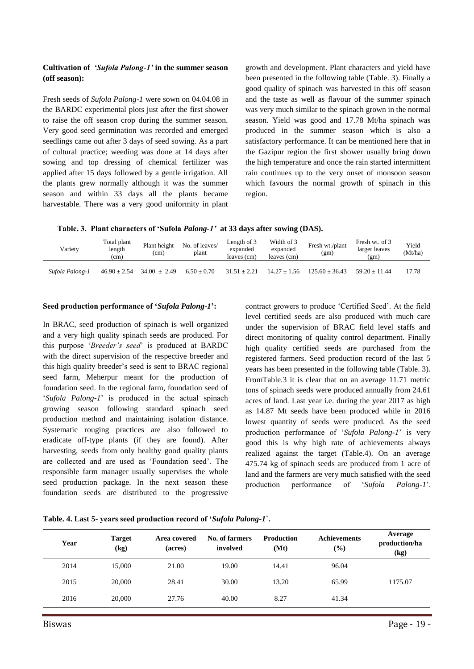# **Cultivation of** *'Sufola Palong-1'* **in the summer season (off season):**

Fresh seeds of *Sufola Palong-1* were sown on 04.04.08 in the BARDC experimental plots just after the first shower to raise the off season crop during the summer season. Very good seed germination was recorded and emerged seedlings came out after 3 days of seed sowing. As a part of cultural practice; weeding was done at 14 days after sowing and top dressing of chemical fertilizer was applied after 15 days followed by a gentle irrigation. All the plants grew normally although it was the summer season and within 33 days all the plants became harvestable. There was a very good uniformity in plant growth and development. Plant characters and yield have been presented in the following table (Table. 3). Finally a good quality of spinach was harvested in this off season and the taste as well as flavour of the summer spinach was very much similar to the spinach grown in the normal season. Yield was good and 17.78 Mt/ha spinach was produced in the summer season which is also a satisfactory performance. It can be mentioned here that in the Gazipur region the first shower usually bring down the high temperature and once the rain started intermittent rain continues up to the very onset of monsoon season which favours the normal growth of spinach in this region.

**Table. 3. Plant characters of 'Sufola** *Palong-1'* **at 33 days after sowing (DAS).** 

| Variety         | Total plant<br>length<br>(cm) | Plant height<br>(cm) | No. of leaves/<br>plant | Length of 3<br>expanded<br>leaves (cm) | Width of 3<br>expanded<br>leaves (cm) | Fresh wt./plant<br>(gm) | Fresh wt. of 3<br>larger leaves<br>(gm) | Yield<br>(Mt/ha) |
|-----------------|-------------------------------|----------------------|-------------------------|----------------------------------------|---------------------------------------|-------------------------|-----------------------------------------|------------------|
| Sufola Palong-1 | $46.90 \pm 2.54$              | $34.00 + 2.49$       | $6.50 + 0.70$           | $31.51 + 2.21$                         | $14.27 + 1.56$                        | $125.60 + 36.43$        | $59.20 + 11.44$                         | 17.78            |

### **Seed production performance of '***Sufola Palong-1***':**

In BRAC, seed production of spinach is well organized and a very high quality spinach seeds are produced. For this purpose '*Breeder's seed*' is produced at BARDC with the direct supervision of the respective breeder and this high quality breeder's seed is sent to BRAC regional seed farm, Meherpur meant for the production of foundation seed. In the regional farm, foundation seed of '*Sufola Palong-1*' is produced in the actual spinach growing season following standard spinach seed production method and maintaining isolation distance. Systematic rouging practices are also followed to eradicate off-type plants (if they are found). After harvesting, seeds from only healthy good quality plants are collected and are used as 'Foundation seed'. The responsible farm manager usually supervises the whole seed production package. In the next season these foundation seeds are distributed to the progressive

contract growers to produce 'Certified Seed'. At the field level certified seeds are also produced with much care under the supervision of BRAC field level staffs and direct monitoring of quality control department. Finally high quality certified seeds are purchased from the registered farmers. Seed production record of the last 5 years has been presented in the following table (Table. 3). FromTable.3 it is clear that on an average 11.71 metric tons of spinach seeds were produced annually from 24.61 acres of land. Last year i.e. during the year 2017 as high as 14.87 Mt seeds have been produced while in 2016 lowest quantity of seeds were produced. As the seed production performance of '*Sufola Palong-1*' is very good this is why high rate of achievements always realized against the target (Table.4). On an average 475.74 kg of spinach seeds are produced from 1 acre of land and the farmers are very much satisfied with the seed production performance of '*Sufola Palong-1*'.

| Table. 4. Last 5- years seed production record of 'Sufola Palong-1'. |  |  |  |  |  |  |  |  |  |  |  |
|----------------------------------------------------------------------|--|--|--|--|--|--|--|--|--|--|--|
|----------------------------------------------------------------------|--|--|--|--|--|--|--|--|--|--|--|

| Year | <b>Target</b><br>(kg) | Area covered<br>(acres) | No. of farmers<br>involved | <b>Production</b><br>(Mt) | <b>Achievements</b><br>$(\%)$ | Average<br>production/ha<br>(kg) |
|------|-----------------------|-------------------------|----------------------------|---------------------------|-------------------------------|----------------------------------|
| 2014 | 15,000                | 21.00                   | 19.00                      | 14.41                     | 96.04                         |                                  |
| 2015 | 20,000                | 28.41                   | 30.00                      | 13.20                     | 65.99                         | 1175.07                          |
| 2016 | 20,000                | 27.76                   | 40.00                      | 8.27                      | 41.34                         |                                  |